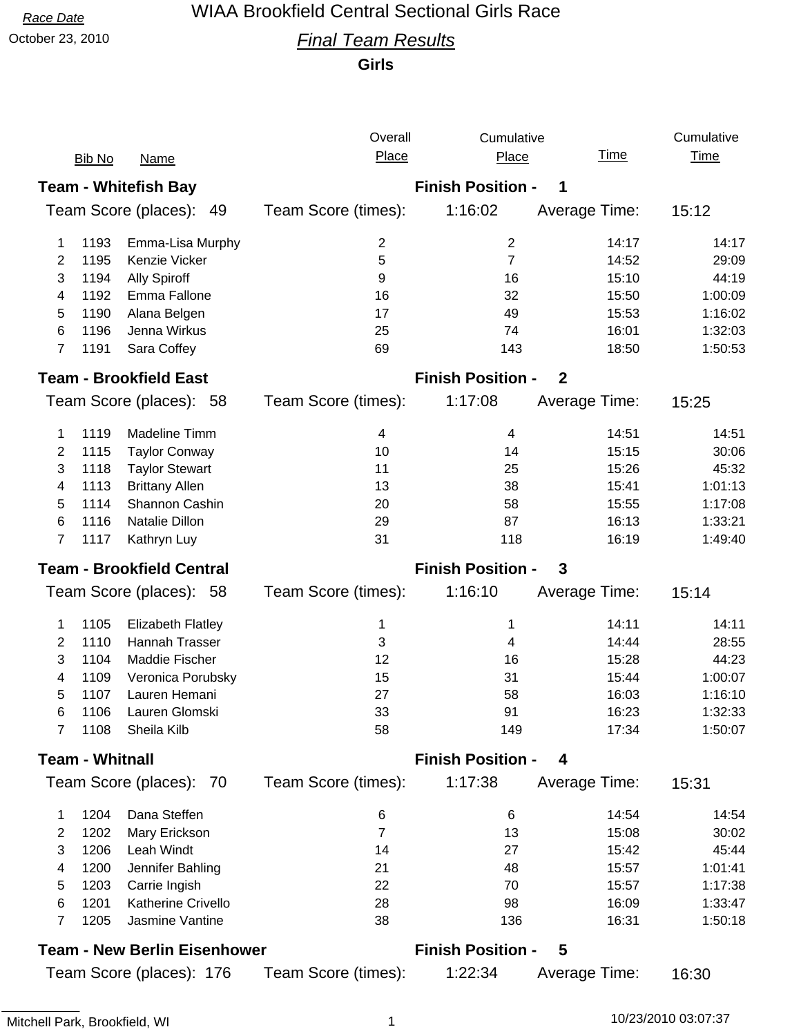# *Race Date* WIAA Brookfield Central Sectional Girls Race

### October 23, 2010 *Final Team Results*

**Girls**

|                                     |               |                             | Overall                                      | Cumulative               |               | Cumulative  |  |
|-------------------------------------|---------------|-----------------------------|----------------------------------------------|--------------------------|---------------|-------------|--|
|                                     | <b>Bib No</b> | <b>Name</b>                 | Place                                        | Place                    | <u>Time</u>   | <b>Time</b> |  |
|                                     |               | <b>Team - Whitefish Bay</b> | <b>Finish Position -</b><br>1                |                          |               |             |  |
| Team Score (places): 49             |               |                             | Team Score (times):                          | 1:16:02                  | Average Time: | 15:12       |  |
| 1                                   | 1193          | Emma-Lisa Murphy            | 2                                            | $\overline{\mathbf{c}}$  | 14:17         | 14:17       |  |
| $\overline{2}$                      | 1195          | Kenzie Vicker               | 5                                            | $\overline{7}$           | 14:52         | 29:09       |  |
| 3                                   | 1194          | <b>Ally Spiroff</b>         | 9                                            | 16                       | 15:10         | 44:19       |  |
| 4                                   | 1192          | Emma Fallone                | 16                                           | 32                       | 15:50         | 1:00:09     |  |
| 5                                   | 1190          | Alana Belgen                | 17                                           | 49                       | 15:53         | 1:16:02     |  |
| 6                                   | 1196          | Jenna Wirkus                | 25                                           | 74                       | 16:01         | 1:32:03     |  |
| $\overline{7}$                      | 1191          | Sara Coffey                 | 69                                           | 143                      | 18:50         | 1:50:53     |  |
| <b>Team - Brookfield East</b>       |               |                             | <b>Finish Position -</b><br>$\boldsymbol{2}$ |                          |               |             |  |
|                                     |               | Team Score (places): 58     | Team Score (times):                          | 1:17:08                  | Average Time: | 15:25       |  |
| 1                                   | 1119          | Madeline Timm               | 4                                            | 4                        | 14:51         | 14:51       |  |
| 2                                   | 1115          | <b>Taylor Conway</b>        | 10                                           | 14                       | 15:15         | 30:06       |  |
| 3                                   | 1118          | <b>Taylor Stewart</b>       | 11                                           | 25                       | 15:26         | 45:32       |  |
| 4                                   | 1113          | <b>Brittany Allen</b>       | 13                                           | 38                       | 15:41         | 1:01:13     |  |
| 5                                   | 1114          | Shannon Cashin              | 20                                           | 58                       | 15:55         | 1:17:08     |  |
| 6                                   | 1116          | Natalie Dillon              | 29                                           | 87                       | 16:13         | 1:33:21     |  |
| $\overline{7}$                      | 1117          | Kathryn Luy                 | 31                                           | 118                      | 16:19         | 1:49:40     |  |
| <b>Team - Brookfield Central</b>    |               |                             | <b>Finish Position -</b><br>$\mathbf{3}$     |                          |               |             |  |
|                                     |               | Team Score (places): 58     | Team Score (times):                          | 1:16:10                  | Average Time: | 15:14       |  |
| 1                                   | 1105          | <b>Elizabeth Flatley</b>    | 1                                            | 1                        | 14:11         | 14:11       |  |
| $\overline{2}$                      | 1110          | Hannah Trasser              | 3                                            | 4                        | 14:44         | 28:55       |  |
| 3                                   | 1104          | Maddie Fischer              | 12                                           | 16                       | 15:28         | 44:23       |  |
| 4                                   | 1109          | Veronica Porubsky           | 15                                           | 31                       | 15:44         | 1:00:07     |  |
| 5                                   | 1107          | Lauren Hemani               | 27                                           | 58                       | 16:03         | 1:16:10     |  |
| 6                                   | 1106          | Lauren Glomski              | 33                                           | 91                       | 16:23         | 1:32:33     |  |
| 7                                   | 1108          | Sheila Kilb                 | 58                                           | 149                      | 17:34         | 1:50:07     |  |
| <b>Team - Whitnall</b>              |               |                             |                                              | <b>Finish Position -</b> | 4             |             |  |
|                                     |               | Team Score (places): 70     | Team Score (times):                          | 1:17:38                  | Average Time: | 15:31       |  |
| 1                                   | 1204          | Dana Steffen                | 6                                            | 6                        | 14:54         | 14:54       |  |
| 2                                   | 1202          | Mary Erickson               | $\overline{7}$                               | 13                       | 15:08         | 30:02       |  |
| 3                                   | 1206          | Leah Windt                  | 14                                           | 27                       | 15:42         | 45:44       |  |
| 4                                   | 1200          | Jennifer Bahling            | 21                                           | 48                       | 15:57         | 1:01:41     |  |
| 5                                   | 1203          | Carrie Ingish               | 22                                           | 70                       | 15:57         | 1:17:38     |  |
| 6                                   | 1201          | Katherine Crivello          | 28                                           | 98                       | 16:09         | 1:33:47     |  |
| $\overline{7}$                      | 1205          | Jasmine Vantine             | 38                                           | 136                      | 16:31         | 1:50:18     |  |
| <b>Team - New Berlin Eisenhower</b> |               |                             |                                              | <b>Finish Position -</b> | 5             |             |  |
| Team Score (places): 176            |               |                             | Team Score (times):                          | 1:22:34                  | Average Time: | 16:30       |  |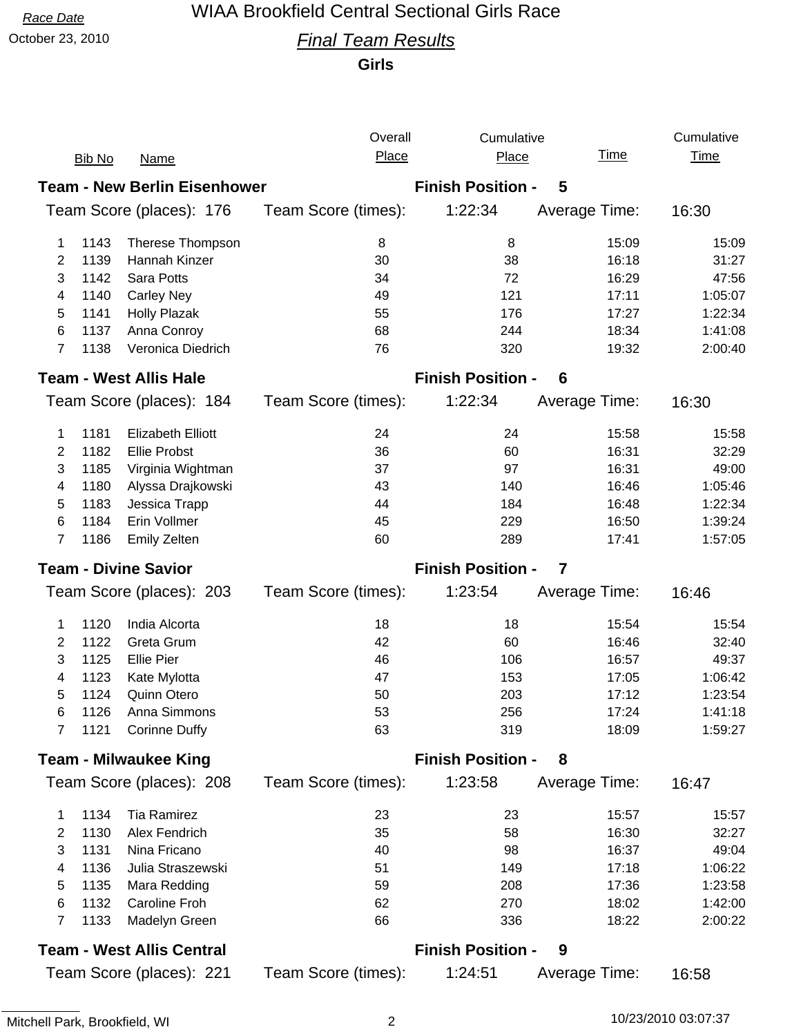# *Race Date* WIAA Brookfield Central Sectional Girls Race

# October 23, 2010 *Final Team Results*

**Girls**

|                                                                      |               |                                  | Overall                       | Cumulative               |               | Cumulative       |  |
|----------------------------------------------------------------------|---------------|----------------------------------|-------------------------------|--------------------------|---------------|------------------|--|
|                                                                      | <b>Bib No</b> | <b>Name</b>                      | Place                         | Place                    | <u>Time</u>   | <b>Time</b>      |  |
| <b>Team - New Berlin Eisenhower</b><br><b>Finish Position -</b><br>5 |               |                                  |                               |                          |               |                  |  |
| Team Score (places): 176                                             |               |                                  | Team Score (times):           | 1:22:34                  | Average Time: | 16:30            |  |
| 1                                                                    | 1143          | Therese Thompson                 | 8                             | 8                        | 15:09         | 15:09            |  |
| 2                                                                    | 1139          | Hannah Kinzer                    | 30                            | 38                       | 16:18         | 31:27            |  |
| 3                                                                    | 1142          | Sara Potts                       | 34                            | 72                       | 16:29         | 47:56            |  |
| 4                                                                    | 1140          | <b>Carley Ney</b>                | 49                            | 121                      | 17:11         | 1:05:07          |  |
| 5                                                                    | 1141          | <b>Holly Plazak</b>              | 55                            | 176                      | 17:27         | 1:22:34          |  |
| 6                                                                    | 1137          | Anna Conroy                      | 68                            | 244                      | 18:34         | 1:41:08          |  |
| 7                                                                    | 1138          | Veronica Diedrich                | 76                            | 320                      | 19:32         | 2:00:40          |  |
|                                                                      |               | <b>Team - West Allis Hale</b>    | <b>Finish Position -</b><br>6 |                          |               |                  |  |
|                                                                      |               | Team Score (places): 184         | Team Score (times):           | 1:22:34                  | Average Time: | 16:30            |  |
| 1                                                                    | 1181          | <b>Elizabeth Elliott</b>         | 24                            | 24                       | 15:58         | 15:58            |  |
| 2                                                                    | 1182          | <b>Ellie Probst</b>              | 36                            | 60                       | 16:31         | 32:29            |  |
| 3                                                                    | 1185          | Virginia Wightman                | 37                            | 97                       | 16:31         | 49:00            |  |
| 4                                                                    | 1180          | Alyssa Drajkowski                | 43                            | 140                      | 16:46         | 1:05:46          |  |
| 5                                                                    | 1183          | Jessica Trapp                    | 44                            | 184                      | 16:48         | 1:22:34          |  |
| 6                                                                    | 1184          | Erin Vollmer                     | 45                            | 229                      | 16:50         | 1:39:24          |  |
| 7                                                                    | 1186          | <b>Emily Zelten</b>              | 60                            | 289                      | 17:41         | 1:57:05          |  |
| <b>Team - Divine Savior</b>                                          |               |                                  |                               | <b>Finish Position -</b> | 7             |                  |  |
|                                                                      |               |                                  |                               |                          |               |                  |  |
|                                                                      |               | Team Score (places): 203         | Team Score (times):           | 1:23:54                  | Average Time: | 16:46            |  |
| 1                                                                    | 1120          | India Alcorta                    | 18                            | 18                       | 15:54         | 15:54            |  |
| 2                                                                    | 1122          | Greta Grum                       | 42                            | 60                       | 16:46         | 32:40            |  |
| 3                                                                    | 1125          | <b>Ellie Pier</b>                | 46                            | 106                      | 16:57         | 49:37            |  |
| 4                                                                    | 1123          | Kate Mylotta                     | 47                            | 153                      | 17:05         | 1:06:42          |  |
| 5                                                                    | 1124          | Quinn Otero                      | 50                            | 203                      | 17:12         | 1:23:54          |  |
| 6                                                                    | 1126          | Anna Simmons                     | 53                            | 256                      | 17:24         | 1:41:18          |  |
| 7                                                                    | 1121          | <b>Corinne Duffy</b>             | 63                            | 319                      | 18:09         | 1:59:27          |  |
|                                                                      |               | <b>Team - Milwaukee King</b>     |                               | <b>Finish Position -</b> | 8             |                  |  |
|                                                                      |               | Team Score (places): 208         | Team Score (times):           | 1:23:58                  | Average Time: | 16:47            |  |
| 1                                                                    | 1134          | Tia Ramirez                      | 23                            | 23                       | 15:57         |                  |  |
| 2                                                                    | 1130          | Alex Fendrich                    | 35                            | 58                       | 16:30         | 32:27            |  |
| 3                                                                    | 1131          | Nina Fricano                     | 40                            | 98                       | 16:37         | 49:04            |  |
| 4                                                                    | 1136          | Julia Straszewski                | 51                            | 149                      | 17:18         | 1:06:22          |  |
| 5                                                                    | 1135          | Mara Redding                     | 59                            | 208                      | 17:36         | 1:23:58          |  |
| 6                                                                    | 1132          | Caroline Froh                    | 62                            | 270                      | 18:02         | 15:57<br>1:42:00 |  |
| 7                                                                    | 1133          | Madelyn Green                    | 66                            | 336                      | 18:22         | 2:00:22          |  |
|                                                                      |               | <b>Team - West Allis Central</b> |                               | <b>Finish Position -</b> | 9             |                  |  |